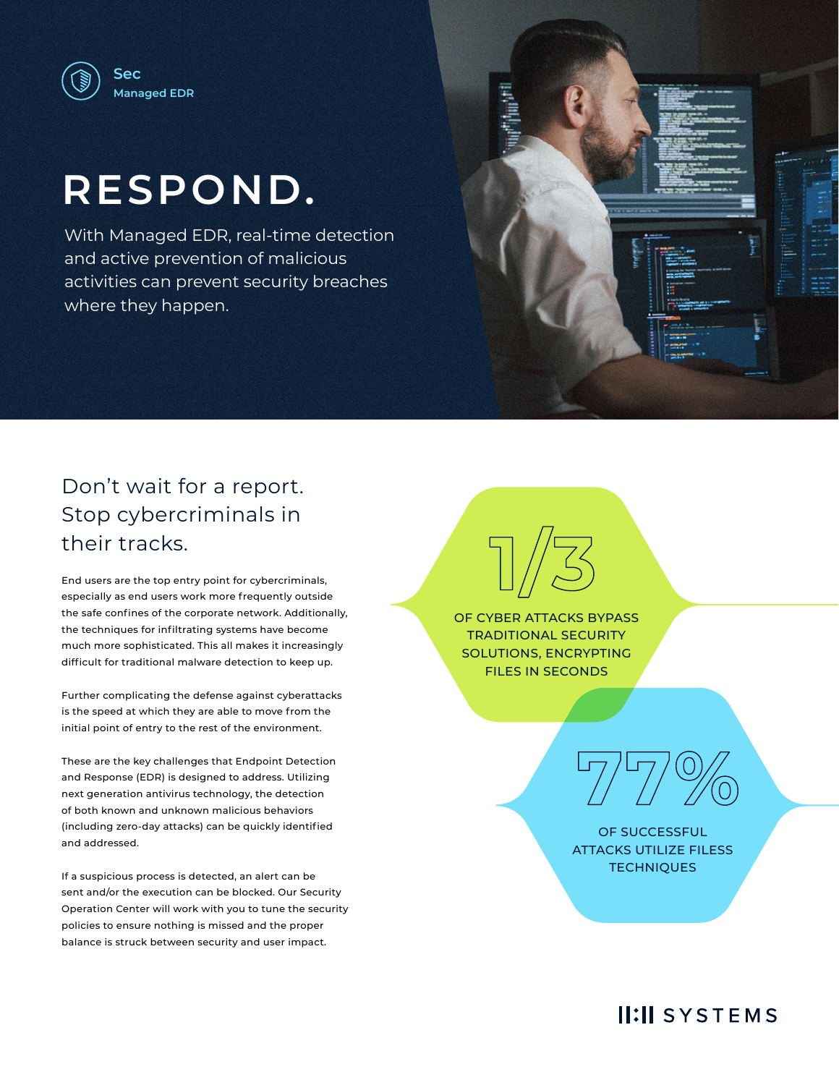

# **RESPOND.**

With Managed EDR, real-time detection and active prevention of malicious activities can prevent security breaches where they happen.



# Don't wait for a report. Stop cybercriminals in their tracks.

End users are the top entry point for cybercriminals, especially as end users work more frequently outside the safe confines of the corporate network. Additionally, the techniques for infiltrating systems have become much more sophisticated. This all makes it increasingly difficult for traditional malware detection to keep up.

Further complicating the defense against cyberattacks is the speed at which they are able to move from the initial point of entry to the rest of the environment.

These are the key challenges that Endpoint Detection and Response (EDR) is designed to address. Utilizing next generation antivirus technology, the detection of both known and unknown malicious behaviors (including zero-day attacks) can be quickly identified and addressed.

If a suspicious process is detected, an alert can be sent and/or the execution can be blocked. Our Security Operation Center will work with you to tune the security policies to ensure nothing is missed and the proper balance is struck between security and user impact.

OF CYBER ATTACKS BYPASS TRADITIONAL SECURITY SOLUTIONS, ENCRYPTING FILES IN SECONDS

**1/3**



OF SUCCESSFUL ATTACKS UTILIZE FILESS **TECHNIQUES** 

**II:II SYSTEMS**